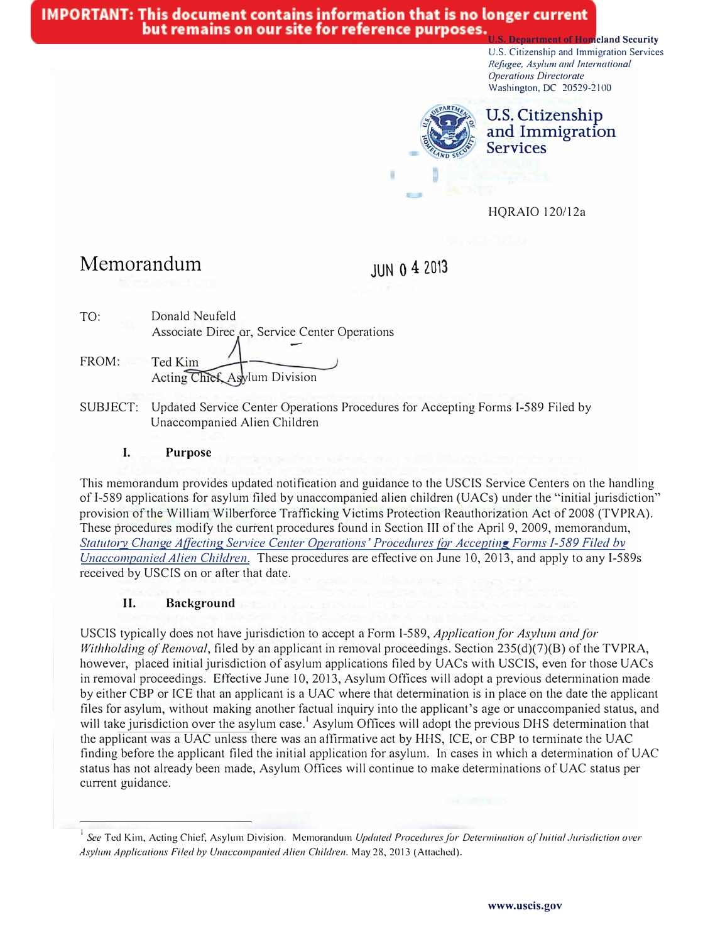## **IMPORTANT: This document contains information that is no longer current** but remains on our site for reference purposes.

**Homeland Security** U.S. Citizenship and Immigration Services *Refugee, Asylum and International Operations Directorate*  Washington, DC 20529-2100



**U.S. Citizenship and Immigration Services** 

HQRAIO 120/12a

# **Memorandum**

**JUNO 4 20'3** 

| TO:   | Donald Neufeld                                                        |
|-------|-----------------------------------------------------------------------|
|       | Associate Direc or, Service Center Operations                         |
| FROM: | Ted Kim<br>Acting Chief Asylum Division                               |
|       | SUBJECT: Undated Service Center Operations Procedures for Accenting I |

vice Center Operations Procedures for Accepting Forms I-589 Filed by Unaccompanied Alien Children

#### **I. Purpose**

This memorandum provides updated notification and guidance to the USCIS Service Centers on the handling ofl-589 applications for asylum filed by unaccompanied alien children (UACs) under the "initial jurisdiction" provision of the William Wilberforce Trafficking Victims Protection Reauthorization Act of 2008 (TVPRA). These procedures modify the current procedures found in Section III of the April 9, 2009, memorandum, Statutory Change Affecting Service Center Operations' Procedures for Accepting Forms I-589 Filed by *Unaccompanied Alien Children.* These procedures are effective on June 10, 2013, and apply to any I-589s received by USCIS on or after that date.

### **II. Background**

USCIS typically does not have jurisdiction to accept a Form 1-589, *Application/or Asylum andfor Withholding of Removal*, filed by an applicant in removal proceedings. Section 235(d)(7)(B) of the TVPRA, however, placed initial jurisdiction of asylum applications filed by UACs with USCIS, even for those UACs in removal proceedings. Effective June 10, 2013, Asylum Offices will adopt a previous determination made by either CBP or ICE that an applicant is a UAC where that determination is in place on the date the applicant files for asylum, without making another factual inquiry into the applicant's age or unaccompanied status, and will take jurisdiction over the asylum case.<sup>1</sup> Asylum Offices will adopt the previous DHS determination that the applicant was a UAC unless there was an affirmative act by HHS, ICE, or CBP to terminate the UAC finding before the applicant filed the initial application for asylum. In cases in which a determination of UAC status has not already been made, Asylum Offices will continue to make determinations of UAC status per current guidance.

*See* Ted Kim, Acting Chief, Asylum Division. Memorandum *Updated Procedures for Determination of Initial Jurisdiction over Asyl11111 Applications Filed by Unaccompanied A lien Children.* May 28, 2013 (Attached).